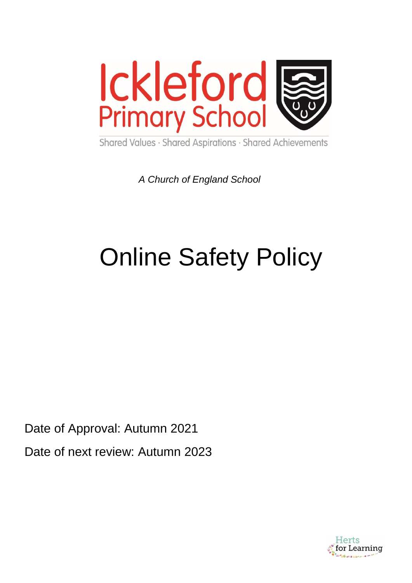

Shared Values · Shared Aspirations · Shared Achievements

*A Church of England School*

# Online Safety Policy

Date of Approval: Autumn 2021 Date of next review: Autumn 2023

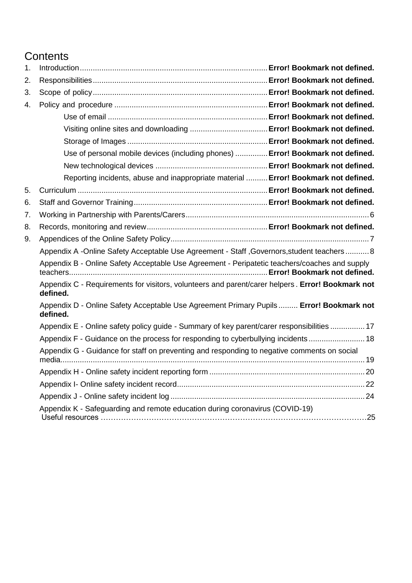# **Contents**

| 1. |                                                                                                              |
|----|--------------------------------------------------------------------------------------------------------------|
| 2. |                                                                                                              |
| 3. |                                                                                                              |
| 4. |                                                                                                              |
|    |                                                                                                              |
|    |                                                                                                              |
|    |                                                                                                              |
|    | Use of personal mobile devices (including phones)  Error! Bookmark not defined.                              |
|    |                                                                                                              |
|    | Reporting incidents, abuse and inappropriate material  Error! Bookmark not defined.                          |
| 5. |                                                                                                              |
| 6. |                                                                                                              |
| 7. |                                                                                                              |
| 8. |                                                                                                              |
| 9. |                                                                                                              |
|    | Appendix A -Online Safety Acceptable Use Agreement - Staff , Governors, student teachers  8                  |
|    | Appendix B - Online Safety Acceptable Use Agreement - Peripatetic teachers/coaches and supply                |
|    | Appendix C - Requirements for visitors, volunteers and parent/carer helpers. Error! Bookmark not<br>defined. |
|    | Appendix D - Online Safety Acceptable Use Agreement Primary Pupils Error! Bookmark not<br>defined.           |
|    | Appendix E - Online safety policy guide - Summary of key parent/carer responsibilities  17                   |
|    | Appendix F - Guidance on the process for responding to cyberbullying incidents  18                           |
|    | Appendix G - Guidance for staff on preventing and responding to negative comments on social                  |
|    |                                                                                                              |
|    |                                                                                                              |
|    |                                                                                                              |
|    | Appendix K - Safeguarding and remote education during coronavirus (COVID-19)                                 |
|    |                                                                                                              |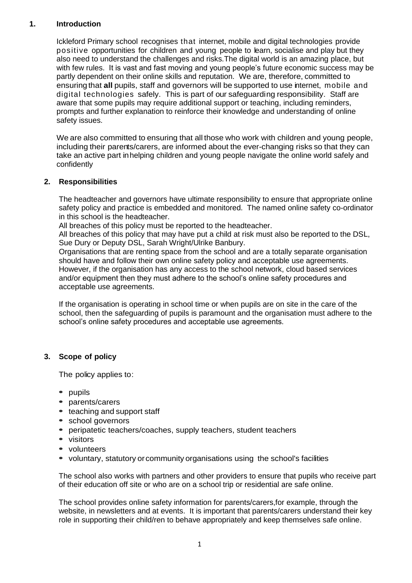## **1. Introduction**

Ickleford Primary school recognises that internet, mobile and digital technologies provide positive opportunities for children and young people to learn, socialise and play but they also need to understand the challenges and risks.The digital world is an amazing place, but with few rules. It is vast and fast moving and young people's future economic success may be partly dependent on their online skills and reputation. We are, therefore, committed to ensuring that **all** pupils, staff and governors will be supported to use internet, mobile and digital technologies safely. This is part of our safeguarding responsibility. Staff are aware that some pupils may require additional support or teaching, including reminders, prompts and further explanation to reinforce their knowledge and understanding of online safety issues.

We are also committed to ensuring that all those who work with children and young people, including their parents/carers, are informed about the ever-changing risks so that they can take an active part inhelping children and young people navigate the online world safely and confidently

## **2. Responsibilities**

The headteacher and governors have ultimate responsibility to ensure that appropriate online safety policy and practice is embedded and monitored. The named online safety co-ordinator in this school is the headteacher.

All breaches of this policy must be reported to the headteacher.

All breaches of this policy that may have put a child at risk must also be reported to the DSL, Sue Dury or Deputy DSL, Sarah Wright/Ulrike Banbury.

Organisations that are renting space from the school and are a totally separate organisation should have and follow their own online safety policy and acceptable use agreements. However, if the organisation has any access to the school network, cloud based services and/or equipment then they must adhere to the school's online safety procedures and acceptable use agreements.

If the organisation is operating in school time or when pupils are on site in the care of the school, then the safeguarding of pupils is paramount and the organisation must adhere to the school's online safety procedures and acceptable use agreements.

## **3. Scope of policy**

The policy applies to:

- **•** pupils
- **•** parents/carers
- **•** teaching and support staff
- **•** school governors
- **•** peripatetic teachers/coaches, supply teachers, student teachers
- **•** visitors
- **•** volunteers
- **•** voluntary, statutory orcommunity organisations using the school's facilities

The school also works with partners and other providers to ensure that pupils who receive part of their education off site or who are on a school trip or residential are safe online.

The school provides online safety information for parents/carers,for example, through the website, in newsletters and at events. It is important that parents/carers understand their key role in supporting their child/ren to behave appropriately and keep themselves safe online.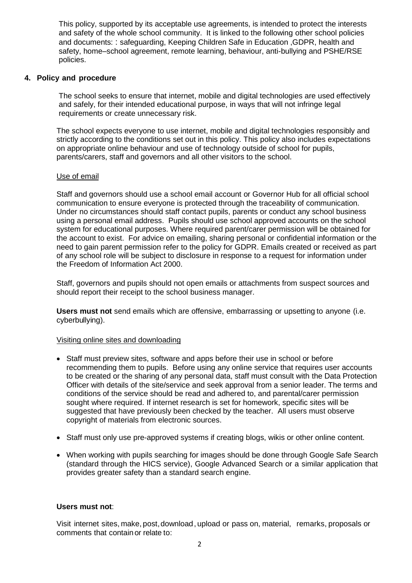This policy, supported by its acceptable use agreements, is intended to protect the interests and safety of the whole school community. It is linked to the following other school policies and documents: : safeguarding, Keeping Children Safe in Education ,GDPR, health and safety, home–school agreement, remote learning, behaviour, anti-bullying and PSHE/RSE policies.

#### **4. Policy and procedure**

The school seeks to ensure that internet, mobile and digital technologies are used effectively and safely, for their intended educational purpose, in ways that will not infringe legal requirements or create unnecessary risk.

The school expects everyone to use internet, mobile and digital technologies responsibly and strictly according to the conditions set out in this policy. This policy also includes expectations on appropriate online behaviour and use of technology outside of school for pupils, parents/carers, staff and governors and all other visitors to the school.

#### Use of email

Staff and governors should use a school email account or Governor Hub for all official school communication to ensure everyone is protected through the traceability of communication. Under no circumstances should staff contact pupils, parents or conduct any school business using a personal email address. Pupils should use school approved accounts on the school system for educational purposes. Where required parent/carer permission will be obtained for the account to exist. For advice on emailing, sharing personal or confidential information or the need to gain parent permission refer to the policy for GDPR. Emails created or received as part of any school role will be subject to disclosure in response to a request for information under the Freedom of Information Act 2000.

Staff, governors and pupils should not open emails or attachments from suspect sources and should report their receipt to the school business manager.

**Users must not** send emails which are offensive, embarrassing or upsetting to anyone (i.e. cyberbullying).

#### Visiting online sites and downloading

- Staff must preview sites, software and apps before their use in school or before recommending them to pupils. Before using any online service that requires user accounts to be created or the sharing of any personal data, staff must consult with the Data Protection Officer with details of the site/service and seek approval from a senior leader. The terms and conditions of the service should be read and adhered to, and parental/carer permission sought where required. If internet research is set for homework, specific sites will be suggested that have previously been checked by the teacher. All users must observe copyright of materials from electronic sources.
- Staff must only use pre-approved systems if creating blogs, wikis or other online content.
- When working with pupils searching for images should be done through Google Safe Search (standard through the HICS service), Google Advanced Search or a similar application that provides greater safety than a standard search engine.

#### **Users must not**:

Visit internet sites, make, post,download, upload or pass on, material, remarks, proposals or comments that contain or relate to: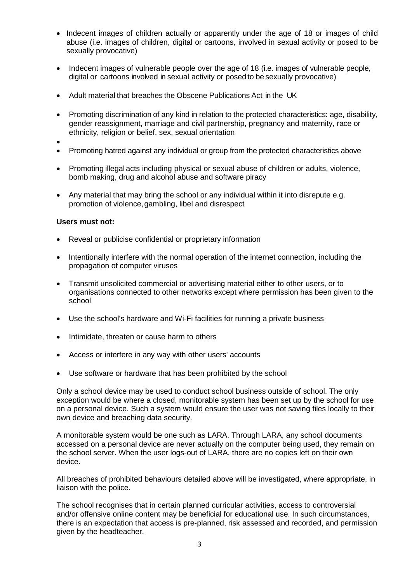- Indecent images of children actually or apparently under the age of 18 or images of child abuse (i.e. images of children, digital or cartoons, involved in sexual activity or posed to be sexually provocative)
- Indecent images of vulnerable people over the age of 18 (i.e. images of vulnerable people, digital or cartoons involved in sexual activity or posed to be sexually provocative)
- Adult material that breaches the Obscene Publications Act in the UK
- Promoting discrimination of any kind in relation to the protected characteristics: age, disability, gender reassignment, marriage and civil partnership, pregnancy and maternity, race or ethnicity, religion or belief, sex, sexual orientation
- $\bullet$
- Promoting hatred against any individual or group from the protected characteristics above
- Promoting illegal acts including physical or sexual abuse of children or adults, violence, bomb making, drug and alcohol abuse and software piracy
- Any material that may bring the school or any individual within it into disrepute e.g. promotion of violence,gambling, libel and disrespect

#### **Users must not:**

- Reveal or publicise confidential or proprietary information
- Intentionally interfere with the normal operation of the internet connection, including the propagation of computer viruses
- Transmit unsolicited commercial or advertising material either to other users, or to organisations connected to other networks except where permission has been given to the school
- Use the school's hardware and Wi-Fi facilities for running a private business
- Intimidate, threaten or cause harm to others
- Access or interfere in any way with other users' accounts
- Use software or hardware that has been prohibited by the school

Only a school device may be used to conduct school business outside of school. The only exception would be where a closed, monitorable system has been set up by the school for use on a personal device. Such a system would ensure the user was not saving files locally to their own device and breaching data security.

A monitorable system would be one such as LARA. Through LARA, any school documents accessed on a personal device are never actually on the computer being used, they remain on the school server. When the user logs-out of LARA, there are no copies left on their own device.

All breaches of prohibited behaviours detailed above will be investigated, where appropriate, in liaison with the police.

The school recognises that in certain planned curricular activities, access to controversial and/or offensive online content may be beneficial for educational use. In such circumstances, there is an expectation that access is pre-planned, risk assessed and recorded, and permission given by the headteacher.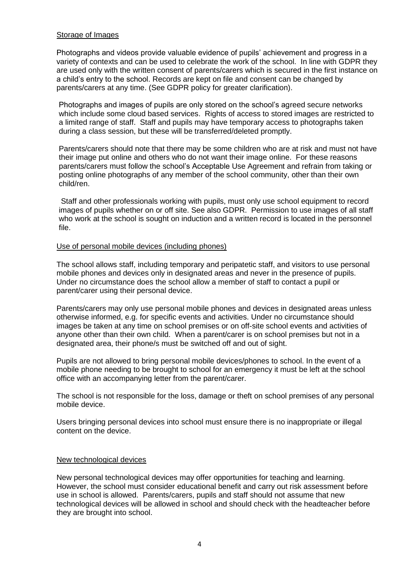#### Storage of Images

Photographs and videos provide valuable evidence of pupils' achievement and progress in a variety of contexts and can be used to celebrate the work of the school. In line with GDPR they are used only with the written consent of parents/carers which is secured in the first instance on a child's entry to the school. Records are kept on file and consent can be changed by parents/carers at any time. (See GDPR policy for greater clarification).

Photographs and images of pupils are only stored on the school's agreed secure networks which include some cloud based services. Rights of access to stored images are restricted to a limited range of staff. Staff and pupils may have temporary access to photographs taken during a class session, but these will be transferred/deleted promptly.

Parents/carers should note that there may be some children who are at risk and must not have their image put online and others who do not want their image online. For these reasons parents/carers must follow the school's Acceptable Use Agreement and refrain from taking or posting online photographs of any member of the school community, other than their own child/ren.

Staff and other professionals working with pupils, must only use school equipment to record images of pupils whether on or off site. See also GDPR. Permission to use images of all staff who work at the school is sought on induction and a written record is located in the personnel file.

#### Use of personal mobile devices (including phones)

The school allows staff, including temporary and peripatetic staff, and visitors to use personal mobile phones and devices only in designated areas and never in the presence of pupils. Under no circumstance does the school allow a member of staff to contact a pupil or parent/carer using their personal device.

Parents/carers may only use personal mobile phones and devices in designated areas unless otherwise informed, e.g. for specific events and activities. Under no circumstance should images be taken at any time on school premises or on off-site school events and activities of anyone other than their own child. When a parent/carer is on school premises but not in a designated area, their phone/s must be switched off and out of sight.

Pupils are not allowed to bring personal mobile devices/phones to school. In the event of a mobile phone needing to be brought to school for an emergency it must be left at the school office with an accompanying letter from the parent/carer.

The school is not responsible for the loss, damage or theft on school premises of any personal mobile device.

Users bringing personal devices into school must ensure there is no inappropriate or illegal content on the device.

## New technological devices

New personal technological devices may offer opportunities for teaching and learning. However, the school must consider educational benefit and carry out risk assessment before use in school is allowed. Parents/carers, pupils and staff should not assume that new technological devices will be allowed in school and should check with the headteacher before they are brought into school.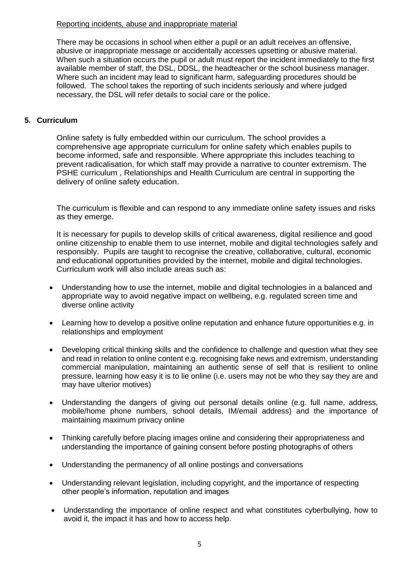## Reporting incidents, abuse and inappropriate material

There may be occasions in school when either a pupil or an adult receives an offensive, abusive or inappropriate message or accidentally accesses upsetting or abusive material. When such a situation occurs the pupil or adult must report the incident immediately to the first available member of staff, the DSL, DDSL, the headteacher or the school business manager. Where such an incident may lead to significant harm, safeguarding procedures should be followed. The school takes the reporting of such incidents seriously and where judged necessary, the DSL will refer details to social care or the police.

## **5. Curriculum**

Online safety is fully embedded within our curriculum. The school provides a comprehensive age appropriate curriculum for online safety which enables pupils to become informed, safe and responsible. Where appropriate this includes teaching to prevent radicalisation, for which staff may provide a narrative to counter extremism. The PSHE curriculum , Relationships and Health Curriculum are central in supporting the delivery of online safety education.

The curriculum is flexible and can respond to any immediate online safety issues and risks as they emerge.

It is necessary for pupils to develop skills of critical awareness, digital resilience and good online citizenship to enable them to use internet, mobile and digital technologies safely and responsibly. Pupils are taught to recognise the creative, collaborative, cultural, economic and educational opportunities provided by the internet, mobile and digital technologies. Curriculum work will also include areas such as:

- Understanding how to use the internet, mobile and digital technologies in a balanced and appropriate way to avoid negative impact on wellbeing, e.g. regulated screen time and diverse online activity
- Learning how to develop a positive online reputation and enhance future opportunities e.g. in relationships and employment
- Developing critical thinking skills and the confidence to challenge and question what they see and read in relation to online content e.g. recognising fake news and extremism, understanding commercial manipulation, maintaining an authentic sense of self that is resilient to online pressure, learning how easy it is to lie online (i.e. users may not be who they say they are and may have ulterior motives)
- Understanding the dangers of giving out personal details online (e.g. full name, address, mobile/home phone numbers, school details, IM/email address) and the importance of maintaining maximum privacy online
- Thinking carefully before placing images online and considering their appropriateness and understanding the importance of gaining consent before posting photographs of others
- Understanding the permanency of all online postings and conversations
- Understanding relevant legislation, including copyright, and the importance of respecting other people's information, reputation and images
- Understanding the importance of online respect and what constitutes cyberbullying, how to avoid it, the impact it has and how to access help.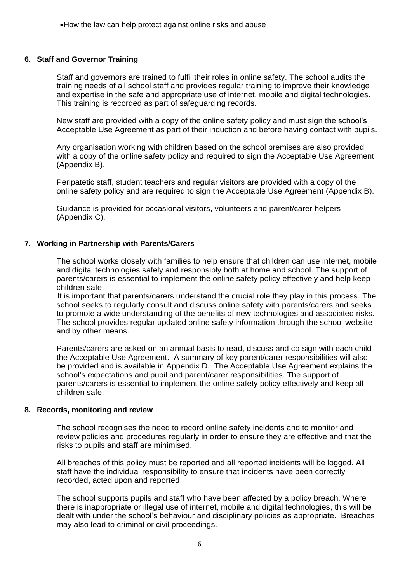### **6. Staff and Governor Training**

Staff and governors are trained to fulfil their roles in online safety. The school audits the training needs of all school staff and provides regular training to improve their knowledge and expertise in the safe and appropriate use of internet, mobile and digital technologies. This training is recorded as part of safeguarding records.

New staff are provided with a copy of the online safety policy and must sign the school's Acceptable Use Agreement as part of their induction and before having contact with pupils.

Any organisation working with children based on the school premises are also provided with a copy of the online safety policy and required to sign the Acceptable Use Agreement (Appendix B).

Peripatetic staff, student teachers and regular visitors are provided with a copy of the online safety policy and are required to sign the Acceptable Use Agreement (Appendix B).

Guidance is provided for occasional visitors, volunteers and parent/carer helpers (Appendix C).

#### **7. Working in Partnership with Parents/Carers**

The school works closely with families to help ensure that children can use internet, mobile and digital technologies safely and responsibly both at home and school. The support of parents/carers is essential to implement the online safety policy effectively and help keep children safe.

It is important that parents/carers understand the crucial role they play in this process. The school seeks to regularly consult and discuss online safety with parents/carers and seeks to promote a wide understanding of the benefits of new technologies and associated risks. The school provides regular updated online safety information through the school website and by other means.

Parents/carers are asked on an annual basis to read, discuss and co-sign with each child the Acceptable Use Agreement. A summary of key parent/carer responsibilities will also be provided and is available in Appendix D. The Acceptable Use Agreement explains the school's expectations and pupil and parent/carer responsibilities. The support of parents/carers is essential to implement the online safety policy effectively and keep all children safe.

#### **8. Records, monitoring and review**

The school recognises the need to record online safety incidents and to monitor and review policies and procedures regularly in order to ensure they are effective and that the risks to pupils and staff are minimised.

All breaches of this policy must be reported and all reported incidents will be logged. All staff have the individual responsibility to ensure that incidents have been correctly recorded, acted upon and reported

The school supports pupils and staff who have been affected by a policy breach. Where there is inappropriate or illegal use of internet, mobile and digital technologies, this will be dealt with under the school's behaviour and disciplinary policies as appropriate. Breaches may also lead to criminal or civil proceedings.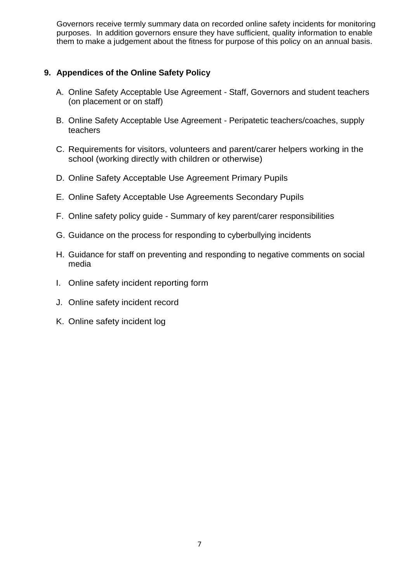Governors receive termly summary data on recorded online safety incidents for monitoring purposes. In addition governors ensure they have sufficient, quality information to enable them to make a judgement about the fitness for purpose of this policy on an annual basis.

## <span id="page-8-0"></span>**9. Appendices of the Online Safety Policy**

- A. Online Safety Acceptable Use Agreement Staff, Governors and student teachers (on placement or on staff)
- B. Online Safety Acceptable Use Agreement Peripatetic teachers/coaches, supply teachers
- C. Requirements for visitors, volunteers and parent/carer helpers working in the school (working directly with children or otherwise)
- D. Online Safety Acceptable Use Agreement Primary Pupils
- E. Online Safety Acceptable Use Agreements Secondary Pupils
- F. Online safety policy guide Summary of key parent/carer responsibilities
- G. Guidance on the process for responding to cyberbullying incidents
- H. Guidance for staff on preventing and responding to negative comments on social media
- I. Online safety incident reporting form
- J. Online safety incident record
- K. Online safety incident log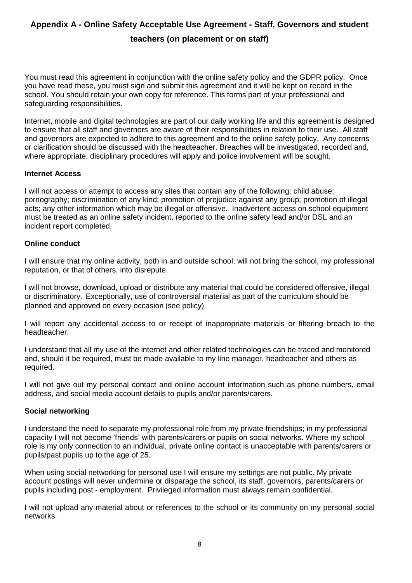# <span id="page-9-0"></span>**Appendix A - Online Safety Acceptable Use Agreement - Staff, Governors and student teachers (on placement or on staff)**

You must read this agreement in conjunction with the online safety policy and the GDPR policy. Once you have read these, you must sign and submit this agreement and it will be kept on record in the school. You should retain your own copy for reference. This forms part of your professional and safeguarding responsibilities.

Internet, mobile and digital technologies are part of our daily working life and this agreement is designed to ensure that all staff and governors are aware of their responsibilities in relation to their use. All staff and governors are expected to adhere to this agreement and to the online safety policy. Any concerns or clarification should be discussed with the headteacher. Breaches will be investigated, recorded and, where appropriate, disciplinary procedures will apply and police involvement will be sought.

#### **Internet Access**

I will not access or attempt to access any sites that contain any of the following: child abuse; pornography; discrimination of any kind; promotion of prejudice against any group; promotion of illegal acts; any other information which may be illegal or offensive. Inadvertent access on school equipment must be treated as an online safety incident, reported to the online safety lead and/or DSL and an incident report completed.

## **Online conduct**

I will ensure that my online activity, both in and outside school, will not bring the school, my professional reputation, or that of others, into disrepute.

I will not browse, download, upload or distribute any material that could be considered offensive, illegal or discriminatory. Exceptionally, use of controversial material as part of the curriculum should be planned and approved on every occasion (see policy).

I will report any accidental access to or receipt of inappropriate materials or filtering breach to the headteacher.

I understand that all my use of the internet and other related technologies can be traced and monitored and, should it be required, must be made available to my line manager, headteacher and others as required.

I will not give out my personal contact and online account information such as phone numbers, email address, and social media account details to pupils and/or parents/carers.

## **Social networking**

I understand the need to separate my professional role from my private friendships; in my professional capacity I will not become 'friends' with parents/carers or pupils on social networks. Where my school role is my only connection to an individual, private online contact is unacceptable with parents/carers or pupils/past pupils up to the age of 25.

When using social networking for personal use I will ensure my settings are not public. My private account postings will never undermine or disparage the school, its staff, governors, parents/carers or pupils including post - employment. Privileged information must always remain confidential.

I will not upload any material about or references to the school or its community on my personal social networks.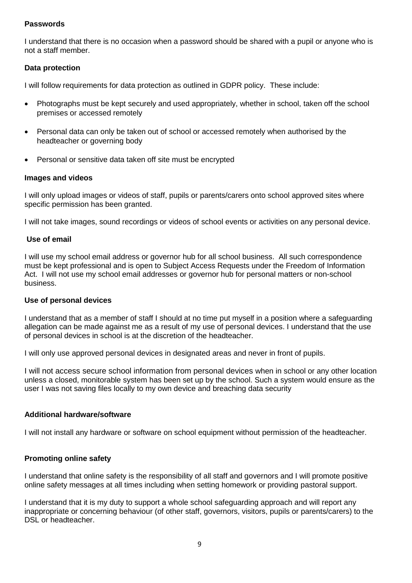## **Passwords**

I understand that there is no occasion when a password should be shared with a pupil or anyone who is not a staff member.

## **Data protection**

I will follow requirements for data protection as outlined in GDPR policy. These include:

- Photographs must be kept securely and used appropriately, whether in school, taken off the school premises or accessed remotely
- Personal data can only be taken out of school or accessed remotely when authorised by the headteacher or governing body
- Personal or sensitive data taken off site must be encrypted

## **Images and videos**

I will only upload images or videos of staff, pupils or parents/carers onto school approved sites where specific permission has been granted.

I will not take images, sound recordings or videos of school events or activities on any personal device.

## **Use of email**

I will use my school email address or governor hub for all school business. All such correspondence must be kept professional and is open to Subject Access Requests under the Freedom of Information Act. I will not use my school email addresses or governor hub for personal matters or non-school business.

## **Use of personal devices**

I understand that as a member of staff I should at no time put myself in a position where a safeguarding allegation can be made against me as a result of my use of personal devices. I understand that the use of personal devices in school is at the discretion of the headteacher.

I will only use approved personal devices in designated areas and never in front of pupils.

I will not access secure school information from personal devices when in school or any other location unless a closed, monitorable system has been set up by the school. Such a system would ensure as the user I was not saving files locally to my own device and breaching data security

## **Additional hardware/software**

I will not install any hardware or software on school equipment without permission of the headteacher.

## **Promoting online safety**

I understand that online safety is the responsibility of all staff and governors and I will promote positive online safety messages at all times including when setting homework or providing pastoral support.

I understand that it is my duty to support a whole school safeguarding approach and will report any inappropriate or concerning behaviour (of other staff, governors, visitors, pupils or parents/carers) to the DSL or headteacher.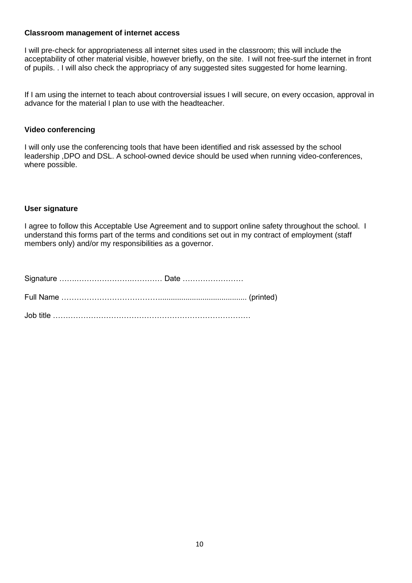## **Classroom management of internet access**

I will pre-check for appropriateness all internet sites used in the classroom; this will include the acceptability of other material visible, however briefly, on the site. I will not free-surf the internet in front of pupils. . I will also check the appropriacy of any suggested sites suggested for home learning.

If I am using the internet to teach about controversial issues I will secure, on every occasion, approval in advance for the material I plan to use with the headteacher.

## **Video conferencing**

I will only use the conferencing tools that have been identified and risk assessed by the school leadership ,DPO and DSL. A school-owned device should be used when running video-conferences, where possible.

## **User signature**

I agree to follow this Acceptable Use Agreement and to support online safety throughout the school. I understand this forms part of the terms and conditions set out in my contract of employment (staff members only) and/or my responsibilities as a governor.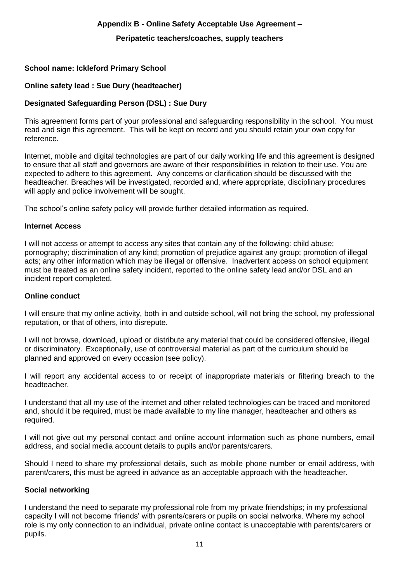## **Appendix B - Online Safety Acceptable Use Agreement –**

## **Peripatetic teachers/coaches, supply teachers**

## **School name: Ickleford Primary School**

## **Online safety lead : Sue Dury (headteacher)**

## **Designated Safeguarding Person (DSL) : Sue Dury**

This agreement forms part of your professional and safeguarding responsibility in the school. You must read and sign this agreement. This will be kept on record and you should retain your own copy for reference.

Internet, mobile and digital technologies are part of our daily working life and this agreement is designed to ensure that all staff and governors are aware of their responsibilities in relation to their use. You are expected to adhere to this agreement. Any concerns or clarification should be discussed with the headteacher. Breaches will be investigated, recorded and, where appropriate, disciplinary procedures will apply and police involvement will be sought.

The school's online safety policy will provide further detailed information as required.

## **Internet Access**

I will not access or attempt to access any sites that contain any of the following: child abuse; pornography; discrimination of any kind; promotion of prejudice against any group; promotion of illegal acts; any other information which may be illegal or offensive. Inadvertent access on school equipment must be treated as an online safety incident, reported to the online safety lead and/or DSL and an incident report completed.

## **Online conduct**

I will ensure that my online activity, both in and outside school, will not bring the school, my professional reputation, or that of others, into disrepute.

I will not browse, download, upload or distribute any material that could be considered offensive, illegal or discriminatory. Exceptionally, use of controversial material as part of the curriculum should be planned and approved on every occasion (see policy).

I will report any accidental access to or receipt of inappropriate materials or filtering breach to the headteacher.

I understand that all my use of the internet and other related technologies can be traced and monitored and, should it be required, must be made available to my line manager, headteacher and others as required.

I will not give out my personal contact and online account information such as phone numbers, email address, and social media account details to pupils and/or parents/carers.

Should I need to share my professional details, such as mobile phone number or email address, with parent/carers, this must be agreed in advance as an acceptable approach with the headteacher.

#### **Social networking**

I understand the need to separate my professional role from my private friendships; in my professional capacity I will not become 'friends' with parents/carers or pupils on social networks. Where my school role is my only connection to an individual, private online contact is unacceptable with parents/carers or pupils.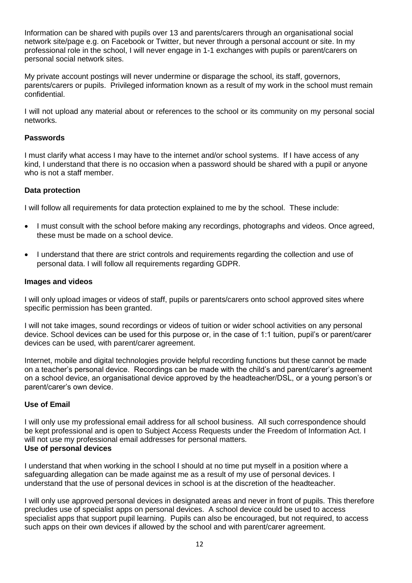Information can be shared with pupils over 13 and parents/carers through an organisational social network site/page e.g. on Facebook or Twitter, but never through a personal account or site. In my professional role in the school, I will never engage in 1-1 exchanges with pupils or parent/carers on personal social network sites.

My private account postings will never undermine or disparage the school, its staff, governors, parents/carers or pupils. Privileged information known as a result of my work in the school must remain confidential.

I will not upload any material about or references to the school or its community on my personal social networks.

## **Passwords**

I must clarify what access I may have to the internet and/or school systems. If I have access of any kind, I understand that there is no occasion when a password should be shared with a pupil or anyone who is not a staff member.

## **Data protection**

I will follow all requirements for data protection explained to me by the school. These include:

- I must consult with the school before making any recordings, photographs and videos. Once agreed, these must be made on a school device.
- I understand that there are strict controls and requirements regarding the collection and use of personal data. I will follow all requirements regarding GDPR.

#### **Images and videos**

I will only upload images or videos of staff, pupils or parents/carers onto school approved sites where specific permission has been granted.

I will not take images, sound recordings or videos of tuition or wider school activities on any personal device. School devices can be used for this purpose or, in the case of 1:1 tuition, pupil's or parent/carer devices can be used, with parent/carer agreement.

Internet, mobile and digital technologies provide helpful recording functions but these cannot be made on a teacher's personal device. Recordings can be made with the child's and parent/carer's agreement on a school device, an organisational device approved by the headteacher/DSL, or a young person's or parent/carer's own device.

## **Use of Email**

I will only use my professional email address for all school business. All such correspondence should be kept professional and is open to Subject Access Requests under the Freedom of Information Act. I will not use my professional email addresses for personal matters. **Use of personal devices**

I understand that when working in the school I should at no time put myself in a position where a safeguarding allegation can be made against me as a result of my use of personal devices. I understand that the use of personal devices in school is at the discretion of the headteacher.

I will only use approved personal devices in designated areas and never in front of pupils. This therefore precludes use of specialist apps on personal devices. A school device could be used to access specialist apps that support pupil learning. Pupils can also be encouraged, but not required, to access such apps on their own devices if allowed by the school and with parent/carer agreement.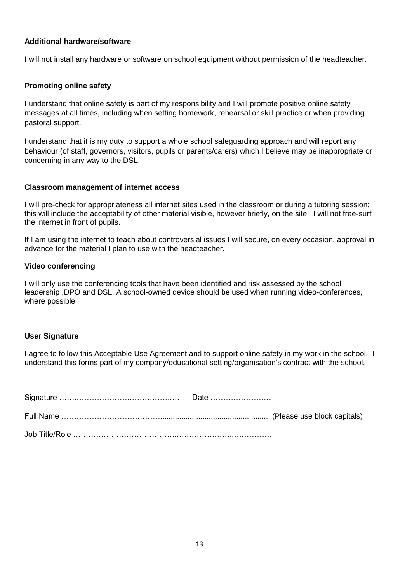## **Additional hardware/software**

I will not install any hardware or software on school equipment without permission of the headteacher.

## **Promoting online safety**

I understand that online safety is part of my responsibility and I will promote positive online safety messages at all times, including when setting homework, rehearsal or skill practice or when providing pastoral support.

I understand that it is my duty to support a whole school safeguarding approach and will report any behaviour (of staff, governors, visitors, pupils or parents/carers) which I believe may be inappropriate or concerning in any way to the DSL.

#### **Classroom management of internet access**

I will pre-check for appropriateness all internet sites used in the classroom or during a tutoring session; this will include the acceptability of other material visible, however briefly, on the site. I will not free-surf the internet in front of pupils.

If I am using the internet to teach about controversial issues I will secure, on every occasion, approval in advance for the material I plan to use with the headteacher.

#### **Video conferencing**

I will only use the conferencing tools that have been identified and risk assessed by the school leadership ,DPO and DSL. A school-owned device should be used when running video-conferences, where possible

## **User Signature**

I agree to follow this Acceptable Use Agreement and to support online safety in my work in the school. I understand this forms part of my company/educational setting/organisation's contract with the school.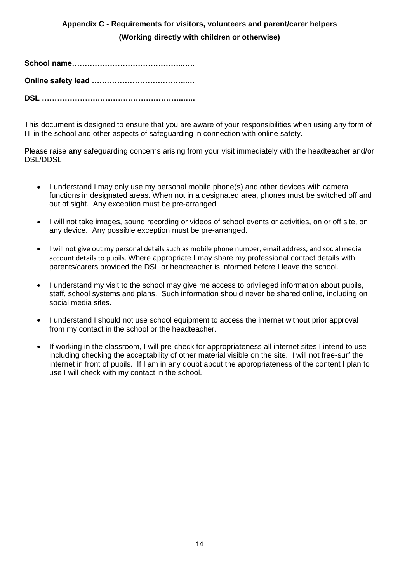# **Appendix C - Requirements for visitors, volunteers and parent/carer helpers (Working directly with children or otherwise)**

**School name……………………………………..…..**

**Online safety lead ………………………………..…**

**DSL ………………………………………………..…..**

This document is designed to ensure that you are aware of your responsibilities when using any form of IT in the school and other aspects of safeguarding in connection with online safety.

Please raise **any** safeguarding concerns arising from your visit immediately with the headteacher and/or DSL/DDSL

- I understand I may only use my personal mobile phone(s) and other devices with camera functions in designated areas. When not in a designated area, phones must be switched off and out of sight. Any exception must be pre-arranged.
- I will not take images, sound recording or videos of school events or activities, on or off site, on any device. Any possible exception must be pre-arranged.
- I will not give out my personal details such as mobile phone number, email address, and social media account details to pupils. Where appropriate I may share my professional contact details with parents/carers provided the DSL or headteacher is informed before I leave the school.
- I understand my visit to the school may give me access to privileged information about pupils, staff, school systems and plans. Such information should never be shared online, including on social media sites.
- I understand I should not use school equipment to access the internet without prior approval from my contact in the school or the headteacher.
- If working in the classroom, I will pre-check for appropriateness all internet sites I intend to use including checking the acceptability of other material visible on the site. I will not free-surf the internet in front of pupils. If I am in any doubt about the appropriateness of the content I plan to use I will check with my contact in the school.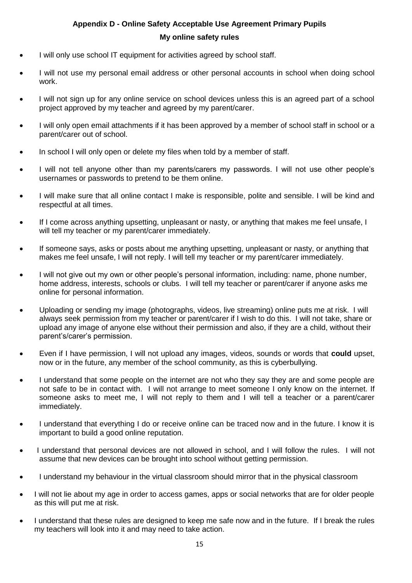## **Appendix D - Online Safety Acceptable Use Agreement Primary Pupils My online safety rules**

- I will only use school IT equipment for activities agreed by school staff.
- I will not use my personal email address or other personal accounts in school when doing school work.
- I will not sign up for any online service on school devices unless this is an agreed part of a school project approved by my teacher and agreed by my parent/carer.
- I will only open email attachments if it has been approved by a member of school staff in school or a parent/carer out of school.
- In school I will only open or delete my files when told by a member of staff.
- I will not tell anyone other than my parents/carers my passwords. I will not use other people's usernames or passwords to pretend to be them online.
- I will make sure that all online contact I make is responsible, polite and sensible. I will be kind and respectful at all times.
- If I come across anything upsetting, unpleasant or nasty, or anything that makes me feel unsafe, I will tell my teacher or my parent/carer immediately.
- If someone says, asks or posts about me anything upsetting, unpleasant or nasty, or anything that makes me feel unsafe, I will not reply. I will tell my teacher or my parent/carer immediately.
- I will not give out my own or other people's personal information, including: name, phone number, home address, interests, schools or clubs. I will tell my teacher or parent/carer if anyone asks me online for personal information.
- Uploading or sending my image (photographs, videos, live streaming) online puts me at risk. I will always seek permission from my teacher or parent/carer if I wish to do this. I will not take, share or upload any image of anyone else without their permission and also, if they are a child, without their parent's/carer's permission.
- Even if I have permission, I will not upload any images, videos, sounds or words that **could** upset, now or in the future, any member of the school community, as this is cyberbullying.
- I understand that some people on the internet are not who they say they are and some people are not safe to be in contact with. I will not arrange to meet someone I only know on the internet. If someone asks to meet me, I will not reply to them and I will tell a teacher or a parent/carer immediately.
- I understand that everything I do or receive online can be traced now and in the future. I know it is important to build a good online reputation.
- I understand that personal devices are not allowed in school, and I will follow the rules. I will not assume that new devices can be brought into school without getting permission.
- I understand my behaviour in the virtual classroom should mirror that in the physical classroom
- I will not lie about my age in order to access games, apps or social networks that are for older people as this will put me at risk.
- I understand that these rules are designed to keep me safe now and in the future. If I break the rules my teachers will look into it and may need to take action.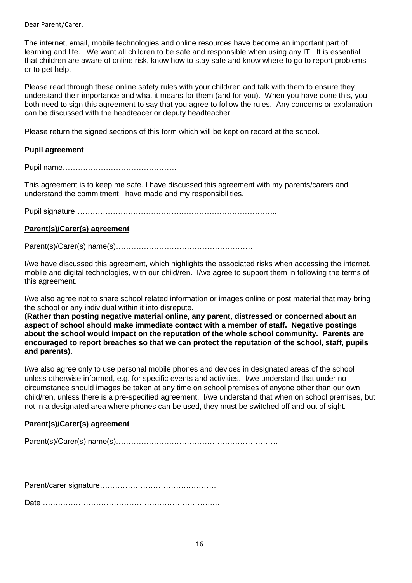Dear Parent/Carer,

The internet, email, mobile technologies and online resources have become an important part of learning and life. We want all children to be safe and responsible when using any IT. It is essential that children are aware of online risk, know how to stay safe and know where to go to report problems or to get help.

Please read through these online safety rules with your child/ren and talk with them to ensure they understand their importance and what it means for them (and for you). When you have done this, you both need to sign this agreement to say that you agree to follow the rules. Any concerns or explanation can be discussed with the headteacer or deputy headteacher.

Please return the signed sections of this form which will be kept on record at the school.

## **Pupil agreement**

Pupil name………………………………………

This agreement is to keep me safe. I have discussed this agreement with my parents/carers and understand the commitment I have made and my responsibilities.

Pupil signature……………………………………………………………………..

## **Parent(s)/Carer(s) agreement**

Parent(s)/Carer(s) name(s)………………………………………………

I/we have discussed this agreement, which highlights the associated risks when accessing the internet, mobile and digital technologies, with our child/ren. I/we agree to support them in following the terms of this agreement.

I/we also agree not to share school related information or images online or post material that may bring the school or any individual within it into disrepute.

**(Rather than posting negative material online, any parent, distressed or concerned about an aspect of school should make immediate contact with a member of staff. Negative postings about the school would impact on the reputation of the whole school community. Parents are encouraged to report breaches so that we can protect the reputation of the school, staff, pupils and parents).**

I/we also agree only to use personal mobile phones and devices in designated areas of the school unless otherwise informed, e.g. for specific events and activities. I/we understand that under no circumstance should images be taken at any time on school premises of anyone other than our own child/ren, unless there is a pre-specified agreement. I/we understand that when on school premises, but not in a designated area where phones can be used, they must be switched off and out of sight.

## **Parent(s)/Carer(s) agreement**

Parent(s)/Carer(s) name(s)……………………………………………………….

Parent/carer signature………………………………………..

Date ………………………………………………………….…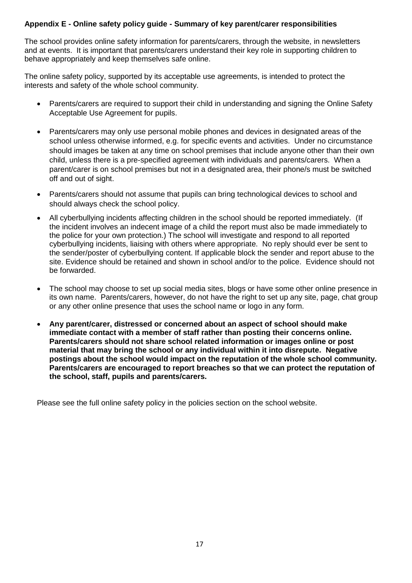## **Appendix E - Online safety policy guide - Summary of key parent/carer responsibilities**

The school provides online safety information for parents/carers, through the website, in newsletters and at events. It is important that parents/carers understand their key role in supporting children to behave appropriately and keep themselves safe online.

The online safety policy, supported by its acceptable use agreements, is intended to protect the interests and safety of the whole school community.

- Parents/carers are required to support their child in understanding and signing the Online Safety Acceptable Use Agreement for pupils.
- Parents/carers may only use personal mobile phones and devices in designated areas of the school unless otherwise informed, e.g. for specific events and activities. Under no circumstance should images be taken at any time on school premises that include anyone other than their own child, unless there is a pre-specified agreement with individuals and parents/carers. When a parent/carer is on school premises but not in a designated area, their phone/s must be switched off and out of sight.
- Parents/carers should not assume that pupils can bring technological devices to school and should always check the school policy.
- All cyberbullying incidents affecting children in the school should be reported immediately. (If the incident involves an indecent image of a child the report must also be made immediately to the police for your own protection.) The school will investigate and respond to all reported cyberbullying incidents, liaising with others where appropriate. No reply should ever be sent to the sender/poster of cyberbullying content. If applicable block the sender and report abuse to the site. Evidence should be retained and shown in school and/or to the police. Evidence should not be forwarded.
- The school may choose to set up social media sites, blogs or have some other online presence in its own name. Parents/carers, however, do not have the right to set up any site, page, chat group or any other online presence that uses the school name or logo in any form.
- **Any parent/carer, distressed or concerned about an aspect of school should make immediate contact with a member of staff rather than posting their concerns online. Parents/carers should not share school related information or images online or post material that may bring the school or any individual within it into disrepute. Negative postings about the school would impact on the reputation of the whole school community. Parents/carers are encouraged to report breaches so that we can protect the reputation of the school, staff, pupils and parents/carers.**

Please see the full online safety policy in the policies section on the school website.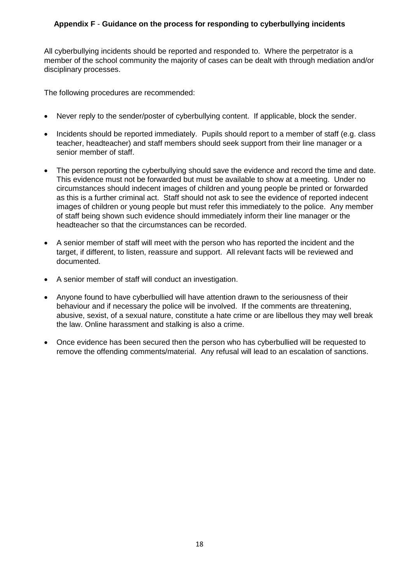## **Appendix F** - **Guidance on the process for responding to cyberbullying incidents**

All cyberbullying incidents should be reported and responded to. Where the perpetrator is a member of the school community the majority of cases can be dealt with through mediation and/or disciplinary processes.

The following procedures are recommended:

- Never reply to the sender/poster of cyberbullying content. If applicable, block the sender.
- Incidents should be reported immediately. Pupils should report to a member of staff (e.g. class teacher, headteacher) and staff members should seek support from their line manager or a senior member of staff.
- The person reporting the cyberbullying should save the evidence and record the time and date. This evidence must not be forwarded but must be available to show at a meeting. Under no circumstances should indecent images of children and young people be printed or forwarded as this is a further criminal act. Staff should not ask to see the evidence of reported indecent images of children or young people but must refer this immediately to the police. Any member of staff being shown such evidence should immediately inform their line manager or the headteacher so that the circumstances can be recorded.
- A senior member of staff will meet with the person who has reported the incident and the target, if different, to listen, reassure and support. All relevant facts will be reviewed and documented.
- A senior member of staff will conduct an investigation.
- Anyone found to have cyberbullied will have attention drawn to the seriousness of their behaviour and if necessary the police will be involved. If the comments are threatening, abusive, sexist, of a sexual nature, constitute a hate crime or are libellous they may well break the law. Online harassment and stalking is also a crime.
- Once evidence has been secured then the person who has cyberbullied will be requested to remove the offending comments/material. Any refusal will lead to an escalation of sanctions.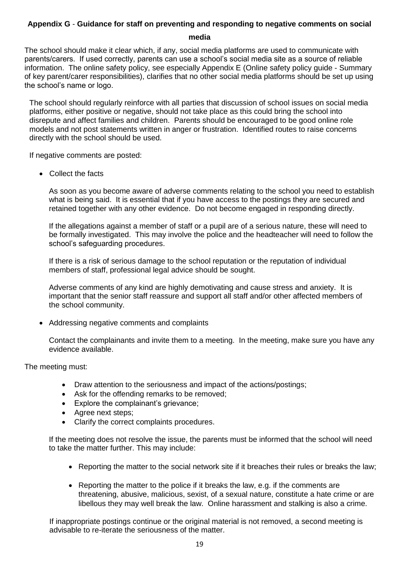# **Appendix G** - **Guidance for staff on preventing and responding to negative comments on social**

**media**

The school should make it clear which, if any, social media platforms are used to communicate with parents/carers. If used correctly, parents can use a school's social media site as a source of reliable information. The online safety policy, see especially Appendix E (Online safety policy guide - Summary of key parent/carer responsibilities), clarifies that no other social media platforms should be set up using the school's name or logo.

The school should regularly reinforce with all parties that discussion of school issues on social media platforms, either positive or negative, should not take place as this could bring the school into disrepute and affect families and children. Parents should be encouraged to be good online role models and not post statements written in anger or frustration. Identified routes to raise concerns directly with the school should be used.

If negative comments are posted:

• Collect the facts

As soon as you become aware of adverse comments relating to the school you need to establish what is being said. It is essential that if you have access to the postings they are secured and retained together with any other evidence. Do not become engaged in responding directly.

If the allegations against a member of staff or a pupil are of a serious nature, these will need to be formally investigated. This may involve the police and the headteacher will need to follow the school's safeguarding procedures.

If there is a risk of serious damage to the school reputation or the reputation of individual members of staff, professional legal advice should be sought.

Adverse comments of any kind are highly demotivating and cause stress and anxiety. It is important that the senior staff reassure and support all staff and/or other affected members of the school community.

• Addressing negative comments and complaints

Contact the complainants and invite them to a meeting. In the meeting, make sure you have any evidence available.

The meeting must:

- Draw attention to the seriousness and impact of the actions/postings;
- Ask for the offending remarks to be removed;
- Explore the complainant's grievance;
- Agree next steps;
- Clarify the correct complaints procedures.

If the meeting does not resolve the issue, the parents must be informed that the school will need to take the matter further. This may include:

- Reporting the matter to the social network site if it breaches their rules or breaks the law;
- Reporting the matter to the police if it breaks the law, e.g. if the comments are threatening, abusive, malicious, sexist, of a sexual nature, constitute a hate crime or are libellous they may well break the law. Online harassment and stalking is also a crime.

If inappropriate postings continue or the original material is not removed, a second meeting is advisable to re-iterate the seriousness of the matter.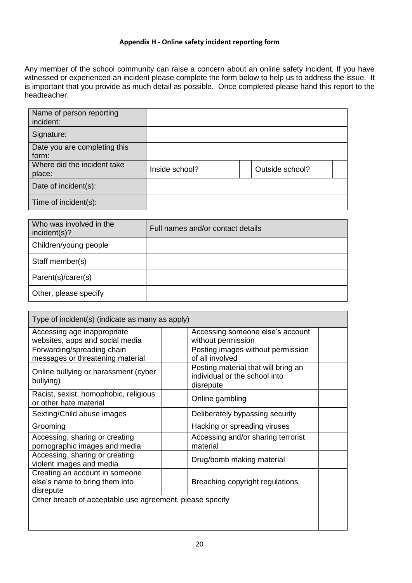## **Appendix H - Online safety incident reporting form**

Any member of the school community can raise a concern about an online safety incident. If you have witnessed or experienced an incident please complete the form below to help us to address the issue. It is important that you provide as much detail as possible. Once completed please hand this report to the headteacher.

| Name of person reporting<br>incident: |                |                 |
|---------------------------------------|----------------|-----------------|
| Signature:                            |                |                 |
| Date you are completing this<br>form: |                |                 |
| Where did the incident take<br>place: | Inside school? | Outside school? |
| Date of incident(s):                  |                |                 |
| Time of incident(s):                  |                |                 |

| Who was involved in the<br>incident(s)? | Full names and/or contact details |
|-----------------------------------------|-----------------------------------|
| Children/young people                   |                                   |
| Staff member(s)                         |                                   |
| Parent(s)/carer(s)                      |                                   |
| Other, please specify                   |                                   |

| Type of incident(s) (indicate as many as apply)                               |                                                                                   |  |
|-------------------------------------------------------------------------------|-----------------------------------------------------------------------------------|--|
| Accessing age inappropriate<br>websites, apps and social media                | Accessing someone else's account<br>without permission                            |  |
| Forwarding/spreading chain<br>messages or threatening material                | Posting images without permission<br>of all involved                              |  |
| Online bullying or harassment (cyber<br>bullying)                             | Posting material that will bring an<br>individual or the school into<br>disrepute |  |
| Racist, sexist, homophobic, religious<br>or other hate material               | Online gambling                                                                   |  |
| Sexting/Child abuse images                                                    | Deliberately bypassing security                                                   |  |
| Grooming                                                                      | Hacking or spreading viruses                                                      |  |
| Accessing, sharing or creating<br>pornographic images and media               | Accessing and/or sharing terrorist<br>material                                    |  |
| Accessing, sharing or creating<br>violent images and media                    | Drug/bomb making material                                                         |  |
| Creating an account in someone<br>else's name to bring them into<br>disrepute | Breaching copyright regulations                                                   |  |
| Other breach of acceptable use agreement, please specify                      |                                                                                   |  |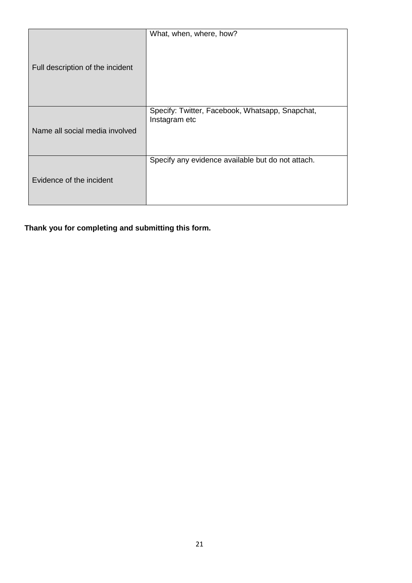|                                  | What, when, where, how?                           |
|----------------------------------|---------------------------------------------------|
| Full description of the incident |                                                   |
|                                  | Specify: Twitter, Facebook, Whatsapp, Snapchat,   |
|                                  | Instagram etc                                     |
| Name all social media involved   |                                                   |
|                                  |                                                   |
|                                  | Specify any evidence available but do not attach. |
| Evidence of the incident         |                                                   |
|                                  |                                                   |
|                                  |                                                   |

**Thank you for completing and submitting this form.**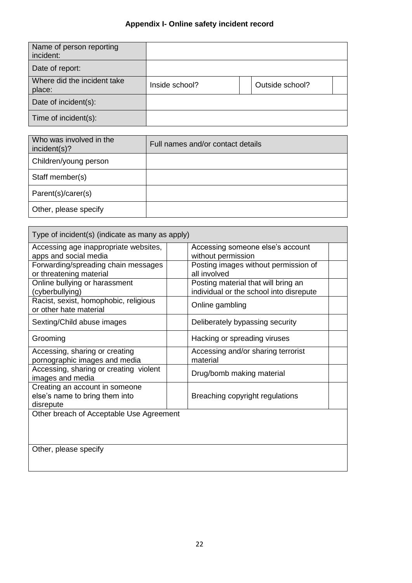| Name of person reporting<br>incident: |                |                 |
|---------------------------------------|----------------|-----------------|
| Date of report:                       |                |                 |
| Where did the incident take<br>place: | Inside school? | Outside school? |
| Date of incident(s):                  |                |                 |
| Time of incident(s):                  |                |                 |

| Who was involved in the<br>incident(s)? | Full names and/or contact details |
|-----------------------------------------|-----------------------------------|
| Children/young person                   |                                   |
| Staff member(s)                         |                                   |
| Parent(s)/carer(s)                      |                                   |
| Other, please specify                   |                                   |
|                                         |                                   |

| Type of incident(s) (indicate as many as apply) |                                         |  |
|-------------------------------------------------|-----------------------------------------|--|
| Accessing age inappropriate websites,           | Accessing someone else's account        |  |
| apps and social media                           | without permission                      |  |
| Forwarding/spreading chain messages             | Posting images without permission of    |  |
| or threatening material                         | all involved                            |  |
| Online bullying or harassment                   | Posting material that will bring an     |  |
| (cyberbullying)                                 | individual or the school into disrepute |  |
| Racist, sexist, homophobic, religious           | Online gambling                         |  |
| or other hate material                          |                                         |  |
| Sexting/Child abuse images                      | Deliberately bypassing security         |  |
| Grooming                                        | Hacking or spreading viruses            |  |
| Accessing, sharing or creating                  | Accessing and/or sharing terrorist      |  |
| pornographic images and media                   | material                                |  |
| Accessing, sharing or creating violent          | Drug/bomb making material               |  |
| images and media                                |                                         |  |
| Creating an account in someone                  |                                         |  |
| else's name to bring them into                  | Breaching copyright regulations         |  |
| disrepute                                       |                                         |  |
| Other breach of Acceptable Use Agreement        |                                         |  |
|                                                 |                                         |  |
|                                                 |                                         |  |
|                                                 |                                         |  |
| Other, please specify                           |                                         |  |
|                                                 |                                         |  |
|                                                 |                                         |  |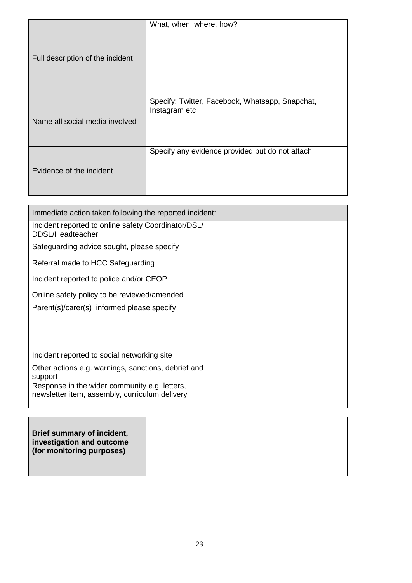| Full description of the incident | What, when, where, how?                                          |
|----------------------------------|------------------------------------------------------------------|
| Name all social media involved   | Specify: Twitter, Facebook, Whatsapp, Snapchat,<br>Instagram etc |
| Evidence of the incident         | Specify any evidence provided but do not attach                  |

| Immediate action taken following the reported incident:                                         |  |
|-------------------------------------------------------------------------------------------------|--|
| Incident reported to online safety Coordinator/DSL/<br>DDSL/Headteacher                         |  |
| Safeguarding advice sought, please specify                                                      |  |
| Referral made to HCC Safeguarding                                                               |  |
| Incident reported to police and/or CEOP                                                         |  |
| Online safety policy to be reviewed/amended                                                     |  |
| Parent(s)/carer(s) informed please specify                                                      |  |
|                                                                                                 |  |
| Incident reported to social networking site                                                     |  |
| Other actions e.g. warnings, sanctions, debrief and<br>support                                  |  |
| Response in the wider community e.g. letters,<br>newsletter item, assembly, curriculum delivery |  |

| Brief summary of incident,<br>investigation and outcome<br>(for monitoring purposes) |  |
|--------------------------------------------------------------------------------------|--|
|                                                                                      |  |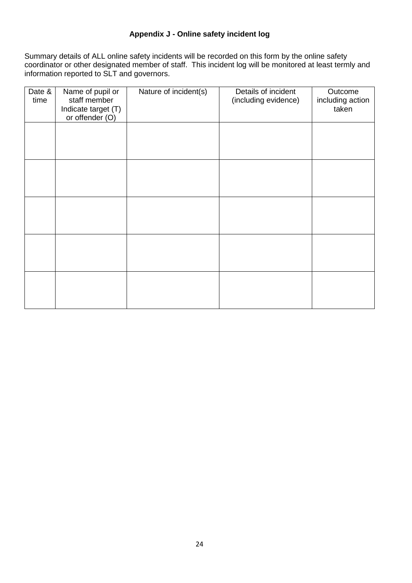## **Appendix J - Online safety incident log**

Summary details of ALL online safety incidents will be recorded on this form by the online safety coordinator or other designated member of staff. This incident log will be monitored at least termly and information reported to SLT and governors.

| Date &<br>time | Name of pupil or<br>staff member<br>Indicate target (T)<br>or offender (O) | Nature of incident(s) | Details of incident<br>(including evidence) | Outcome<br>including action<br>taken |
|----------------|----------------------------------------------------------------------------|-----------------------|---------------------------------------------|--------------------------------------|
|                |                                                                            |                       |                                             |                                      |
|                |                                                                            |                       |                                             |                                      |
|                |                                                                            |                       |                                             |                                      |
|                |                                                                            |                       |                                             |                                      |
|                |                                                                            |                       |                                             |                                      |